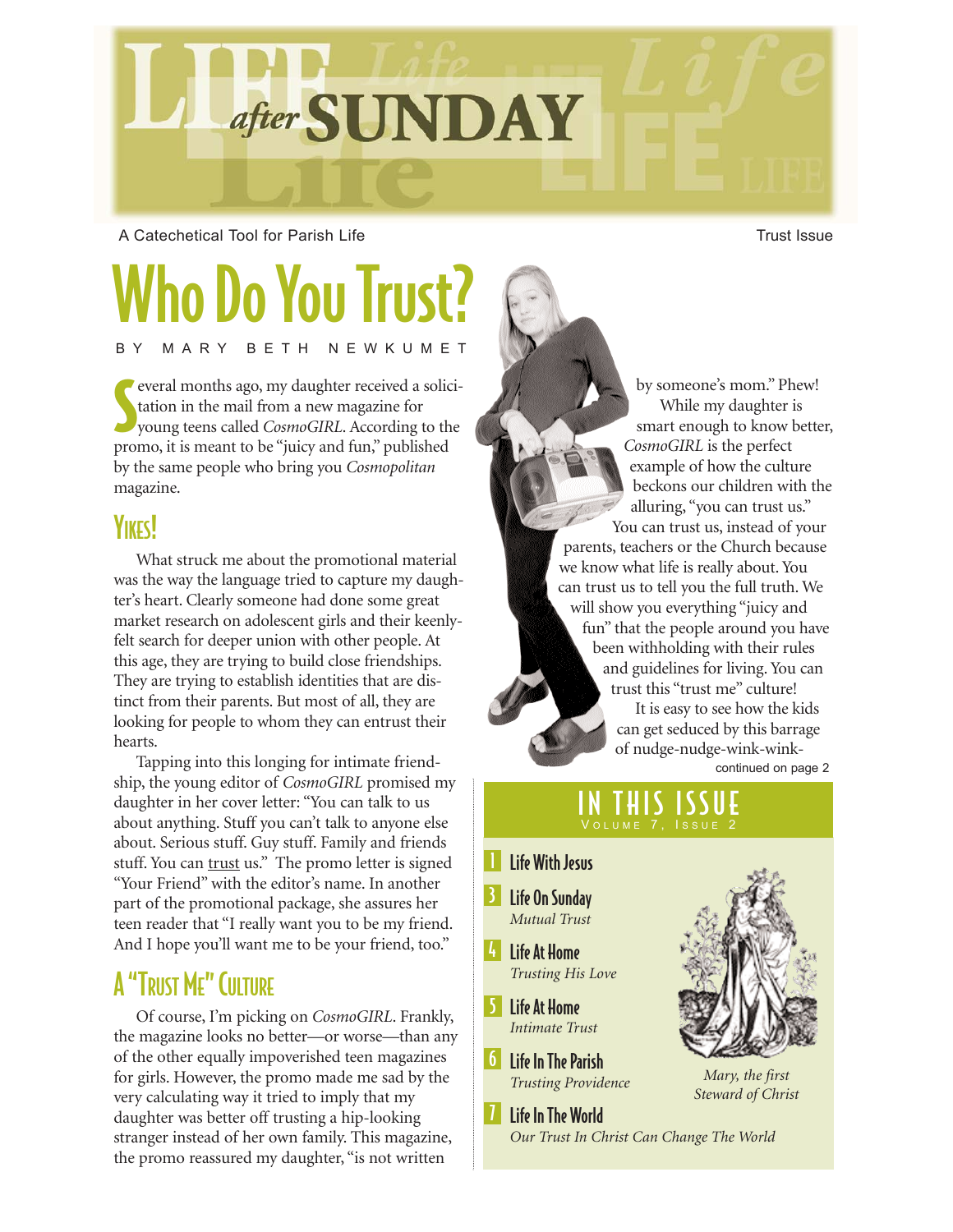

A Catechetical Tool for Parish Life Trust Issue Trust Issue

## Who Do You Trust? BY MARY BETH NEWKUMET

S everal months ago, my daughter received a solicitation in the mail from a new magazine for young teens called *CosmoGIRL*. According to the promo, it is meant to be "juicy and fun," published by the same people who bring you *Cosmopolitan* magazine.

### **YIKES!**

What struck me about the promotional material was the way the language tried to capture my daughter's heart. Clearly someone had done some great market research on adolescent girls and their keenlyfelt search for deeper union with other people. At this age, they are trying to build close friendships. They are trying to establish identities that are distinct from their parents. But most of all, they are looking for people to whom they can entrust their hearts.

Tapping into this longing for intimate friendship, the young editor of *CosmoGIRL* promised my daughter in her cover letter: "You can talk to us about anything. Stuff you can't talk to anyone else about. Serious stuff. Guy stuff. Family and friends stuff. You can trust us." The promo letter is signed "Your Friend" with the editor's name. In another part of the promotional package, she assures her teen reader that "I really want you to be my friend. And I hope you'll want me to be your friend, too."

## A "TRUST ME" CULTURE

Of course, I'm picking on *CosmoGIRL*. Frankly, the magazine looks no better—or worse—than any of the other equally impoverished teen magazines for girls. However, the promo made me sad by the very calculating way it tried to imply that my daughter was better off trusting a hip-looking stranger instead of her own family. This magazine, the promo reassured my daughter, "is not written

by someone's mom." Phew! While my daughter is smart enough to know better, *CosmoGIRL* is the perfect example of how the culture beckons our children with the alluring, "you can trust us." You can trust us, instead of your parents, teachers or the Church because we know what life is really about. You can trust us to tell you the full truth. We will show you everything "juicy and fun" that the people around you have been withholding with their rules and guidelines for living. You can trust this "trust me" culture! It is easy to see how the kids can get seduced by this barrage of nudge-nudge-wink-winkcontinued on page 2

#### IN THIS ISSUE VOLUME 7, ISSUE 2

*Our Trust In Christ Can Change The World*

- **I** Life With Jesus
- 3 Life On Sunday *Mutual Trust*
- $|I_{1}|$ Life At Home *Trusting His Love*
- 5 Life At Home *Intimate Trust*
- 6 Life In The Parish
- *Trusting Providence*

**7** Life In The World



*Mary, the first Steward of Christ*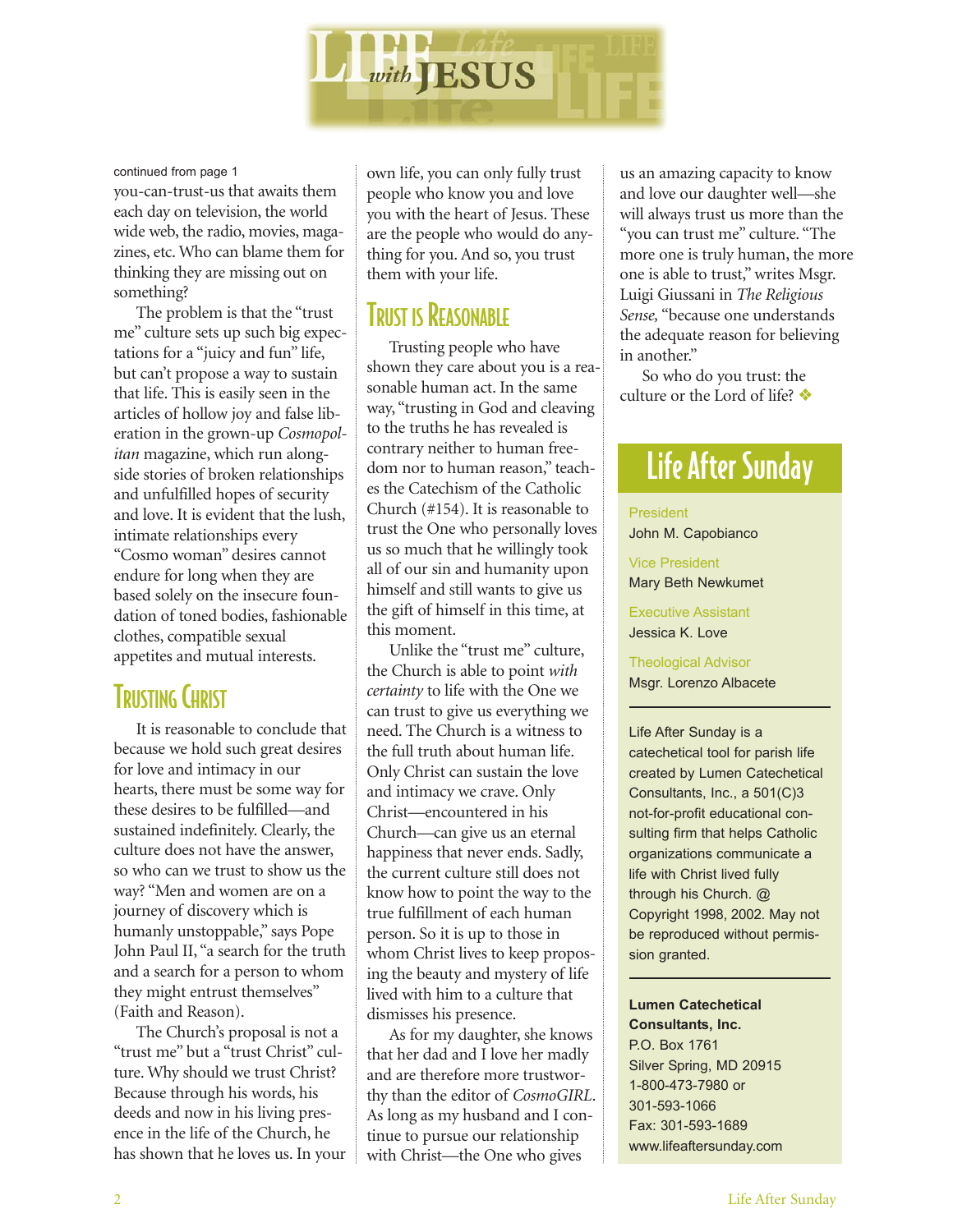

continued from page 1

you-can-trust-us that awaits them each day on television, the world wide web, the radio, movies, magazines, etc. Who can blame them for thinking they are missing out on something?

The problem is that the "trust me" culture sets up such big expectations for a "juicy and fun" life, but can't propose a way to sustain that life. This is easily seen in the articles of hollow joy and false liberation in the grown-up *Cosmopolitan* magazine, which run alongside stories of broken relationships and unfulfilled hopes of security and love. It is evident that the lush, intimate relationships every "Cosmo woman" desires cannot endure for long when they are based solely on the insecure foundation of toned bodies, fashionable clothes, compatible sexual appetites and mutual interests.

## TRUSTING CHRIST

It is reasonable to conclude that because we hold such great desires for love and intimacy in our hearts, there must be some way for these desires to be fulfilled—and sustained indefinitely. Clearly, the culture does not have the answer, so who can we trust to show us the way? "Men and women are on a journey of discovery which is humanly unstoppable," says Pope John Paul II, "a search for the truth and a search for a person to whom they might entrust themselves" (Faith and Reason).

The Church's proposal is not a "trust me" but a "trust Christ" culture. Why should we trust Christ? Because through his words, his deeds and now in his living presence in the life of the Church, he has shown that he loves us. In your own life, you can only fully trust people who know you and love you with the heart of Jesus. These are the people who would do anything for you. And so, you trust them with your life.

#### **TRUST IS REASONABLE**

Trusting people who have shown they care about you is a reasonable human act. In the same way, "trusting in God and cleaving to the truths he has revealed is contrary neither to human freedom nor to human reason," teaches the Catechism of the Catholic Church (#154). It is reasonable to trust the One who personally loves us so much that he willingly took all of our sin and humanity upon himself and still wants to give us the gift of himself in this time, at this moment.

Unlike the "trust me" culture, the Church is able to point *with certainty* to life with the One we can trust to give us everything we need. The Church is a witness to the full truth about human life. Only Christ can sustain the love and intimacy we crave. Only Christ—encountered in his Church—can give us an eternal happiness that never ends. Sadly, the current culture still does not know how to point the way to the true fulfillment of each human person. So it is up to those in whom Christ lives to keep proposing the beauty and mystery of life lived with him to a culture that dismisses his presence.

As for my daughter, she knows that her dad and I love her madly and are therefore more trustworthy than the editor of *CosmoGIRL*. As long as my husband and I continue to pursue our relationship with Christ—the One who gives

us an amazing capacity to know and love our daughter well—she will always trust us more than the "you can trust me" culture. "The more one is truly human, the more one is able to trust," writes Msgr. Luigi Giussani in *The Religious Sense,* "because one understands the adequate reason for believing in another."

So who do you trust: the culture or the Lord of life? ❖

## Life After Sunday

President John M. Capobianco

Vice President Mary Beth Newkumet

Executive Assistant Jessica K. Love

Theological Advisor Msgr. Lorenzo Albacete

Life After Sunday is a catechetical tool for parish life created by Lumen Catechetical Consultants, Inc., a 501(C)3 not-for-profit educational consulting firm that helps Catholic organizations communicate a life with Christ lived fully through his Church. @ Copyright 1998, 2002. May not be reproduced without permission granted.

**Lumen Catechetical Consultants, Inc.** P.O. Box 1761 Silver Spring, MD 20915 1-800-473-7980 or 301-593-1066 Fax: 301-593-1689 www.lifeaftersunday.com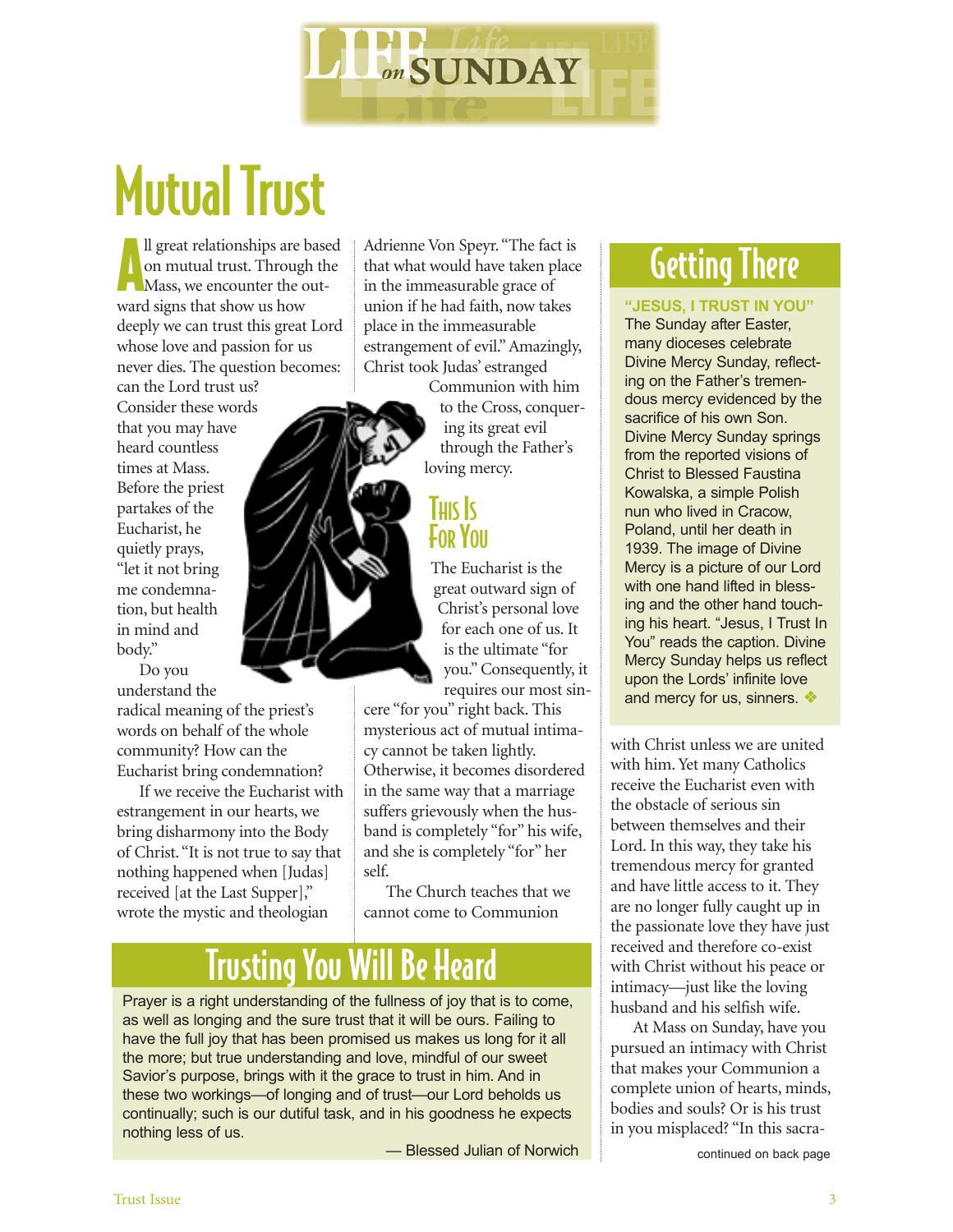

# **Mutual Trust**

Il great relationships are base<br>on mutual trust. Through the Mass, we encounter the outll great relationships are based on mutual trust. Through the ward signs that show us how deeply we can trust this great Lord whose love and passion for us never dies. The question becomes: can the Lord trust us?

Consider these words that you may have heard countless times at Mass. Before the priest partakes of the Eucharist, he quietly prays, "let it not bring me condemnation, but health in mind and body."

Do you understand the radical meaning of the priest's words on behalf of the whole community? How can the Eucharist bring condemnation?

If we receive the Eucharist with estrangement in our hearts, we bring disharmony into the Body of Christ. "It is not true to say that nothing happened when [Judas] received [at the Last Supper]," wrote the mystic and theologian

Adrienne Von Speyr. "The fact is that what would have taken place in the immeasurable grace of union if he had faith, now takes place in the immeasurable estrangement of evil." Amazingly, Christ took Judas' estranged

Communion with him to the Cross, conquering its great evil through the Father's loving mercy.

#### **THIS** IS **FOR YOU**

The Eucharist is the great outward sign of Christ's personal love for each one of us. It is the ultimate "for you." Consequently, it requires our most sin-

cere "for you" right back. This mysterious act of mutual intimacy cannot be taken lightly. Otherwise, it becomes disordered in the same way that a marriage suffers grievously when the husband is completely "for" his wife, and she is completely "for" her self.

The Church teaches that we cannot come to Communion

## Trusting You Will Be Heard

Prayer is a right understanding of the fullness of joy that is to come, as well as longing and the sure trust that it will be ours. Failing to have the full joy that has been promised us makes us long for it all the more; but true understanding and love, mindful of our sweet Savior's purpose, brings with it the grace to trust in him. And in these two workings—of longing and of trust—our Lord beholds us continually; such is our dutiful task, and in his goodness he expects nothing less of us.

- Blessed Julian of Norwich **Continued** continued on back page

## Getting There

#### **"JESUS, I TRUST IN YOU"**

The Sunday after Easter, many dioceses celebrate Divine Mercy Sunday, reflecting on the Father's tremendous mercy evidenced by the sacrifice of his own Son. Divine Mercy Sunday springs from the reported visions of Christ to Blessed Faustina Kowalska, a simple Polish nun who lived in Cracow, Poland, until her death in 1939. The image of Divine Mercy is a picture of our Lord with one hand lifted in blessing and the other hand touching his heart. "Jesus, I Trust In You" reads the caption. Divine Mercy Sunday helps us reflect upon the Lords' infinite love and mercy for us, sinners.  $\cdot\cdot\cdot$ 

with Christ unless we are united with him. Yet many Catholics receive the Eucharist even with the obstacle of serious sin between themselves and their Lord. In this way, they take his tremendous mercy for granted and have little access to it. They are no longer fully caught up in the passionate love they have just received and therefore co-exist with Christ without his peace or intimacy—just like the loving husband and his selfish wife.

At Mass on Sunday, have you pursued an intimacy with Christ that makes your Communion a complete union of hearts, minds, bodies and souls? Or is his trust in you misplaced? "In this sacra-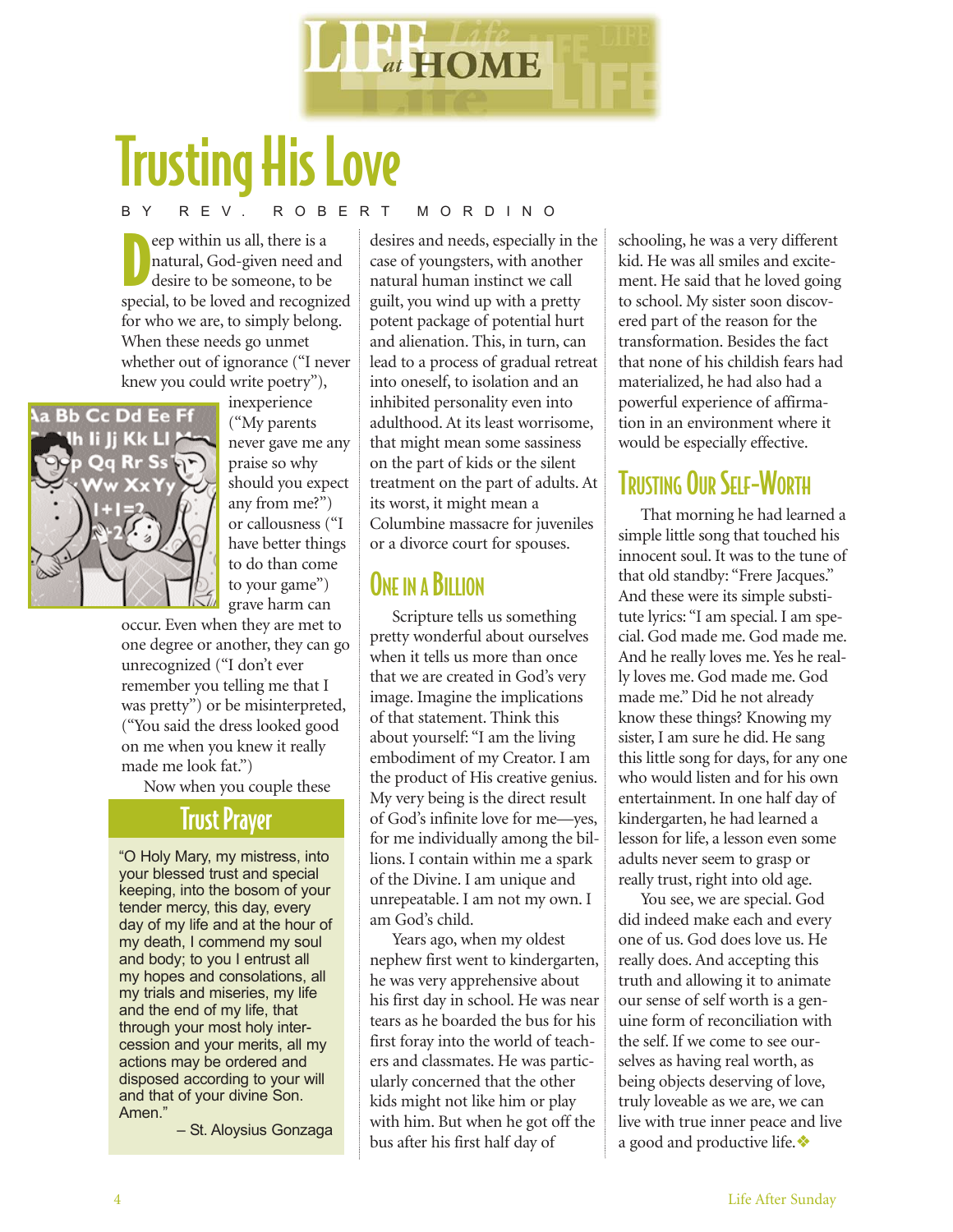

# Trusting His Love

#### BY REV. ROBERT MORDINO

eep within us all, there is a<br>
natural, God-given need and<br>
desire to be someone, to be<br>
special, to be loved and recognized eep within us all, there is a natural, God-given need and desire to be someone, to be for who we are, to simply belong. When these needs go unmet whether out of ignorance ("I never knew you could write poetry"),



inexperience ("My parents never gave me any praise so why should you expect any from me?") or callousness ("I have better things to do than come to your game") grave harm can

occur. Even when they are met to one degree or another, they can go unrecognized ("I don't ever remember you telling me that I was pretty") or be misinterpreted, ("You said the dress looked good on me when you knew it really made me look fat.")

Now when you couple these

#### Trust Prayer

"O Holy Mary, my mistress, into your blessed trust and special keeping, into the bosom of your tender mercy, this day, every day of my life and at the hour of my death, I commend my soul and body; to you I entrust all my hopes and consolations, all my trials and miseries, my life and the end of my life, that through your most holy intercession and your merits, all my actions may be ordered and disposed according to your will and that of your divine Son. Amen."

– St. Aloysius Gonzaga

desires and needs, especially in the case of youngsters, with another natural human instinct we call guilt, you wind up with a pretty potent package of potential hurt and alienation. This, in turn, can lead to a process of gradual retreat into oneself, to isolation and an inhibited personality even into adulthood. At its least worrisome, that might mean some sassiness on the part of kids or the silent treatment on the part of adults. At its worst, it might mean a Columbine massacre for juveniles or a divorce court for spouses.

### ONE IN A BILLION

Scripture tells us something pretty wonderful about ourselves when it tells us more than once that we are created in God's very image. Imagine the implications of that statement. Think this about yourself: "I am the living embodiment of my Creator. I am the product of His creative genius. My very being is the direct result of God's infinite love for me—yes, for me individually among the billions. I contain within me a spark of the Divine. I am unique and unrepeatable. I am not my own. I am God's child.

Years ago, when my oldest nephew first went to kindergarten, he was very apprehensive about his first day in school. He was near tears as he boarded the bus for his first foray into the world of teachers and classmates. He was particularly concerned that the other kids might not like him or play with him. But when he got off the bus after his first half day of

schooling, he was a very different kid. He was all smiles and excitement. He said that he loved going to school. My sister soon discovered part of the reason for the transformation. Besides the fact that none of his childish fears had materialized, he had also had a powerful experience of affirmation in an environment where it would be especially effective.

### **TRUSTING OUR SELF-WORTH**

That morning he had learned a simple little song that touched his innocent soul. It was to the tune of that old standby: "Frere Jacques." And these were its simple substitute lyrics: "I am special. I am special. God made me. God made me. And he really loves me. Yes he really loves me. God made me. God made me." Did he not already know these things? Knowing my sister, I am sure he did. He sang this little song for days, for any one who would listen and for his own entertainment. In one half day of kindergarten, he had learned a lesson for life, a lesson even some adults never seem to grasp or really trust, right into old age.

You see, we are special. God did indeed make each and every one of us. God does love us. He really does. And accepting this truth and allowing it to animate our sense of self worth is a genuine form of reconciliation with the self. If we come to see ourselves as having real worth, as being objects deserving of love, truly loveable as we are, we can live with true inner peace and live a good and productive life.❖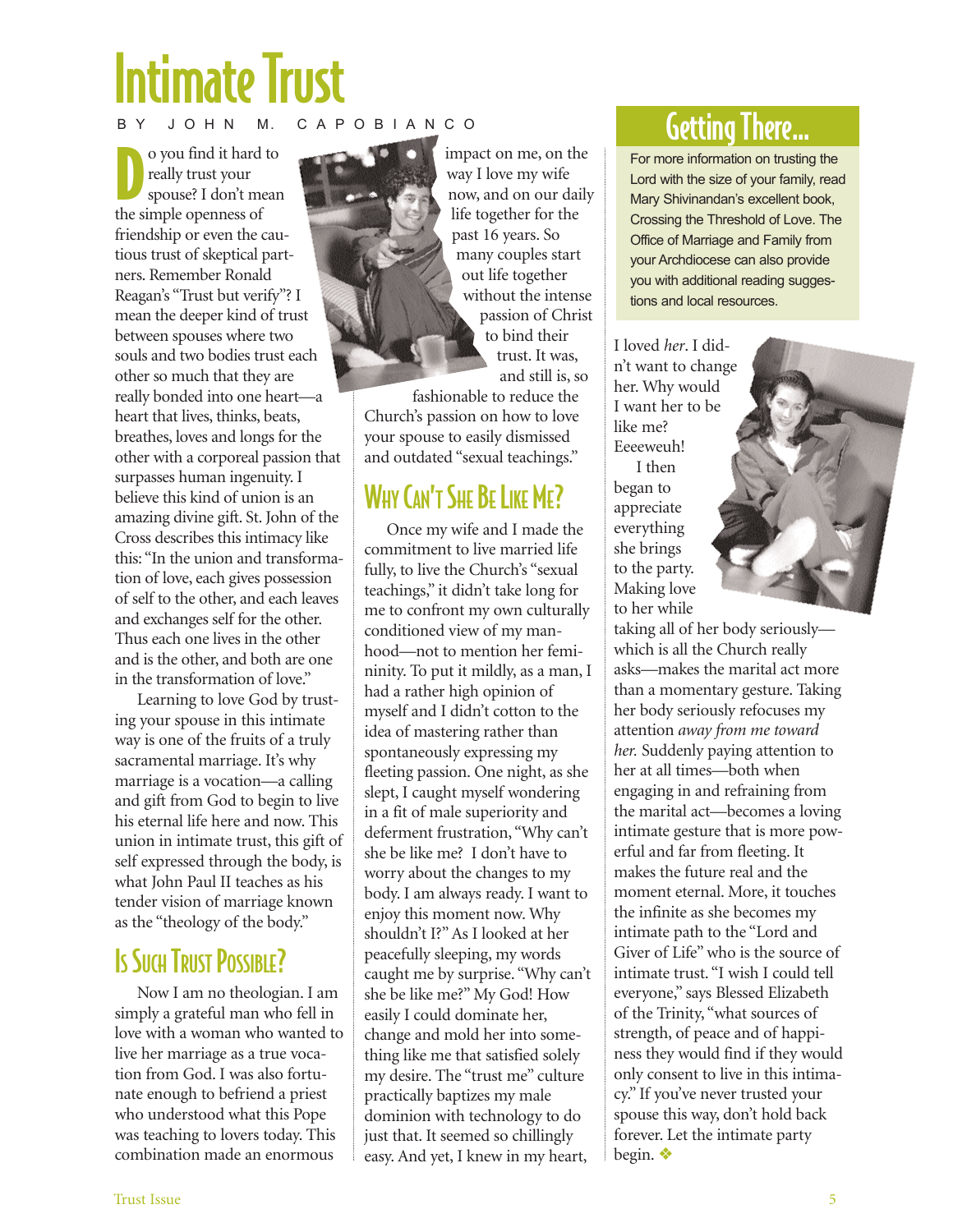# Intimate Trust

#### J O H N M. C A P O B I A N C O

O you find it hard<br>
really trust your<br>
spouse? I don't me<br>
the simple openness of o you find it hard to really trust your spouse? I don't mean friendship or even the cautious trust of skeptical partners. Remember Ronald Reagan's "Trust but verify"? I mean the deeper kind of trust between spouses where two souls and two bodies trust each other so much that they are really bonded into one heart—a heart that lives, thinks, beats, breathes, loves and longs for the other with a corporeal passion that surpasses human ingenuity. I believe this kind of union is an amazing divine gift. St. John of the Cross describes this intimacy like this: "In the union and transformation of love, each gives possession of self to the other, and each leaves and exchanges self for the other. Thus each one lives in the other and is the other, and both are one in the transformation of love."

Learning to love God by trusting your spouse in this intimate way is one of the fruits of a truly sacramental marriage. It's why marriage is a vocation—a calling and gift from God to begin to live his eternal life here and now. This union in intimate trust, this gift of self expressed through the body, is what John Paul II teaches as his tender vision of marriage known as the "theology of the body."

## **IS SUCH TRUST POSSIBLE?**

Now I am no theologian. I am simply a grateful man who fell in love with a woman who wanted to live her marriage as a true vocation from God. I was also fortunate enough to befriend a priest who understood what this Pope was teaching to lovers today. This combination made an enormous

impact on me, on the way I love my wife now, and on our daily life together for the past 16 years. So many couples start out life together without the intense passion of Christ to bind their trust. It was, and still is, so

fashionable to reduce the Church's passion on how to love your spouse to easily dismissed and outdated "sexual teachings."

## WHY CAN'T SHE BE LIKE ME?

Once my wife and I made the commitment to live married life fully, to live the Church's "sexual teachings," it didn't take long for me to confront my own culturally conditioned view of my manhood—not to mention her femininity. To put it mildly, as a man, I had a rather high opinion of myself and I didn't cotton to the idea of mastering rather than spontaneously expressing my fleeting passion. One night, as she slept, I caught myself wondering in a fit of male superiority and deferment frustration, "Why can't she be like me? I don't have to worry about the changes to my body. I am always ready. I want to enjoy this moment now. Why shouldn't I?" As I looked at her peacefully sleeping, my words caught me by surprise. "Why can't she be like me?" My God! How easily I could dominate her, change and mold her into something like me that satisfied solely my desire. The "trust me" culture practically baptizes my male dominion with technology to do just that. It seemed so chillingly easy. And yet, I knew in my heart,

## Getting There…

For more information on trusting the Lord with the size of your family, read Mary Shivinandan's excellent book, Crossing the Threshold of Love. The Office of Marriage and Family from your Archdiocese can also provide you with additional reading suggestions and local resources.

I loved *her*. I didn't want to change her. Why would I want her to be like me? Eeeeweuh!

I then began to appreciate everything she brings to the party. Making love to her while

taking all of her body seriously which is all the Church really asks—makes the marital act more than a momentary gesture. Taking her body seriously refocuses my attention *away from me toward her.* Suddenly paying attention to her at all times—both when engaging in and refraining from the marital act—becomes a loving intimate gesture that is more powerful and far from fleeting. It makes the future real and the moment eternal. More, it touches the infinite as she becomes my intimate path to the "Lord and Giver of Life" who is the source of intimate trust. "I wish I could tell everyone," says Blessed Elizabeth of the Trinity, "what sources of strength, of peace and of happiness they would find if they would only consent to live in this intimacy." If you've never trusted your spouse this way, don't hold back forever. Let the intimate party begin. ❖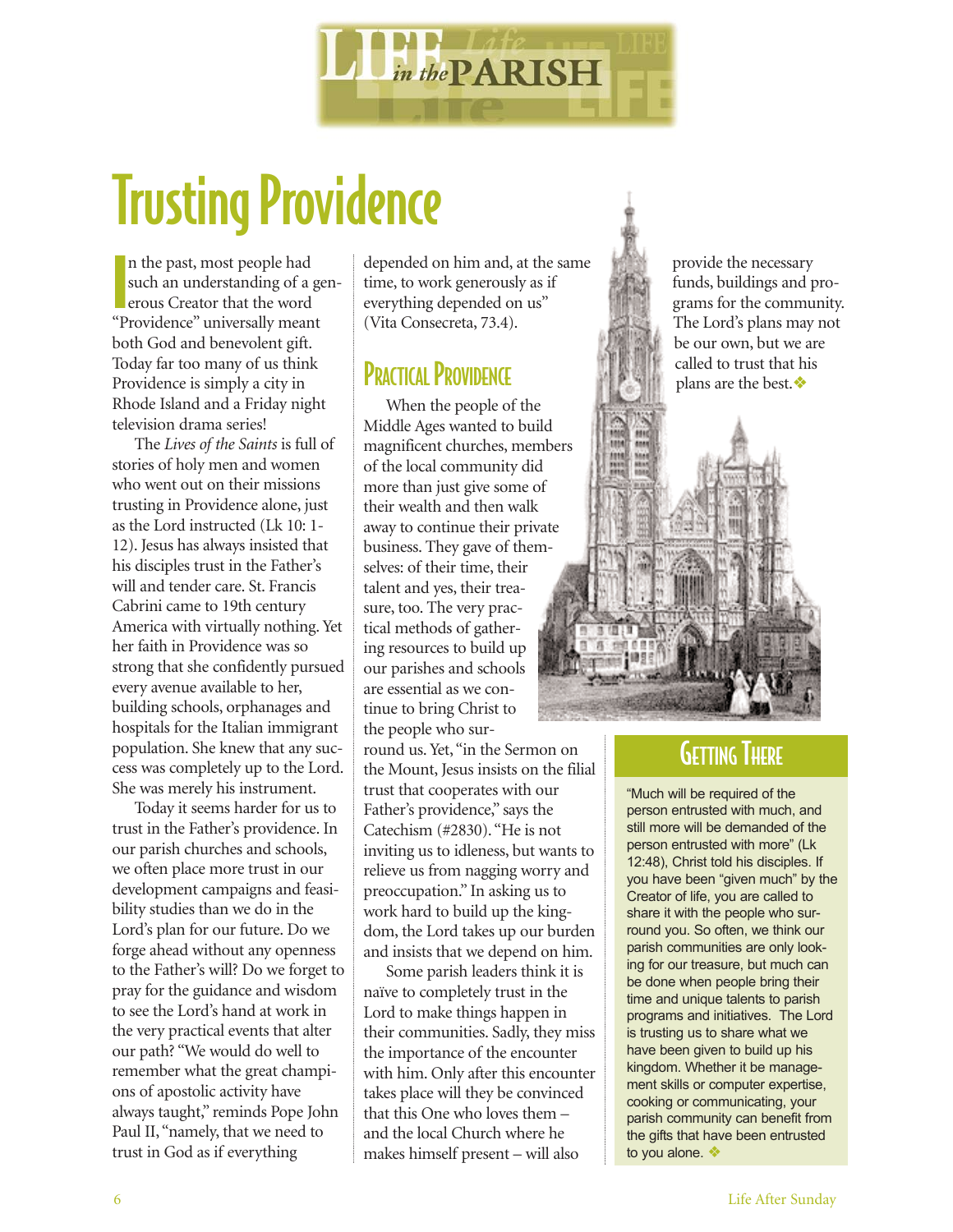

# Trusting Providence

**I**<br>I<br>III n the past, most people had such an understanding of a generous Creator that the word "Providence" universally meant both God and benevolent gift. Today far too many of us think Providence is simply a city in Rhode Island and a Friday night television drama series!

The *Lives of the Saints* is full of stories of holy men and women who went out on their missions trusting in Providence alone, just as the Lord instructed (Lk 10: 1- 12). Jesus has always insisted that his disciples trust in the Father's will and tender care. St. Francis Cabrini came to 19th century America with virtually nothing. Yet her faith in Providence was so strong that she confidently pursued every avenue available to her, building schools, orphanages and hospitals for the Italian immigrant population. She knew that any success was completely up to the Lord. She was merely his instrument.

Today it seems harder for us to trust in the Father's providence. In our parish churches and schools, we often place more trust in our development campaigns and feasibility studies than we do in the Lord's plan for our future. Do we forge ahead without any openness to the Father's will? Do we forget to pray for the guidance and wisdom to see the Lord's hand at work in the very practical events that alter our path? "We would do well to remember what the great champions of apostolic activity have always taught," reminds Pope John Paul II, "namely, that we need to trust in God as if everything

depended on him and, at the same time, to work generously as if everything depended on us" (Vita Consecreta, 73.4).

#### **PRACTICAL PROVIDENCE**

When the people of the Middle Ages wanted to build magnificent churches, members of the local community did more than just give some of their wealth and then walk away to continue their private business. They gave of themselves: of their time, their talent and yes, their treasure, too. The very practical methods of gathering resources to build up our parishes and schools are essential as we continue to bring Christ to the people who sur-

round us. Yet, "in the Sermon on the Mount, Jesus insists on the filial trust that cooperates with our Father's providence," says the Catechism (#2830). "He is not inviting us to idleness, but wants to relieve us from nagging worry and preoccupation." In asking us to work hard to build up the kingdom, the Lord takes up our burden and insists that we depend on him.

Some parish leaders think it is naïve to completely trust in the Lord to make things happen in their communities. Sadly, they miss the importance of the encounter with him. Only after this encounter takes place will they be convinced that this One who loves them – and the local Church where he makes himself present – will also

provide the necessary funds, buildings and programs for the community. The Lord's plans may not be our own, but we are called to trust that his plans are the best.❖

#### **GETTING THERE**

"Much will be required of the person entrusted with much, and still more will be demanded of the person entrusted with more" (Lk 12:48), Christ told his disciples. If you have been "given much" by the Creator of life, you are called to share it with the people who surround you. So often, we think our parish communities are only looking for our treasure, but much can be done when people bring their time and unique talents to parish programs and initiatives. The Lord is trusting us to share what we have been given to build up his kingdom. Whether it be management skills or computer expertise, cooking or communicating, your parish community can benefit from the gifts that have been entrusted to you alone. ❖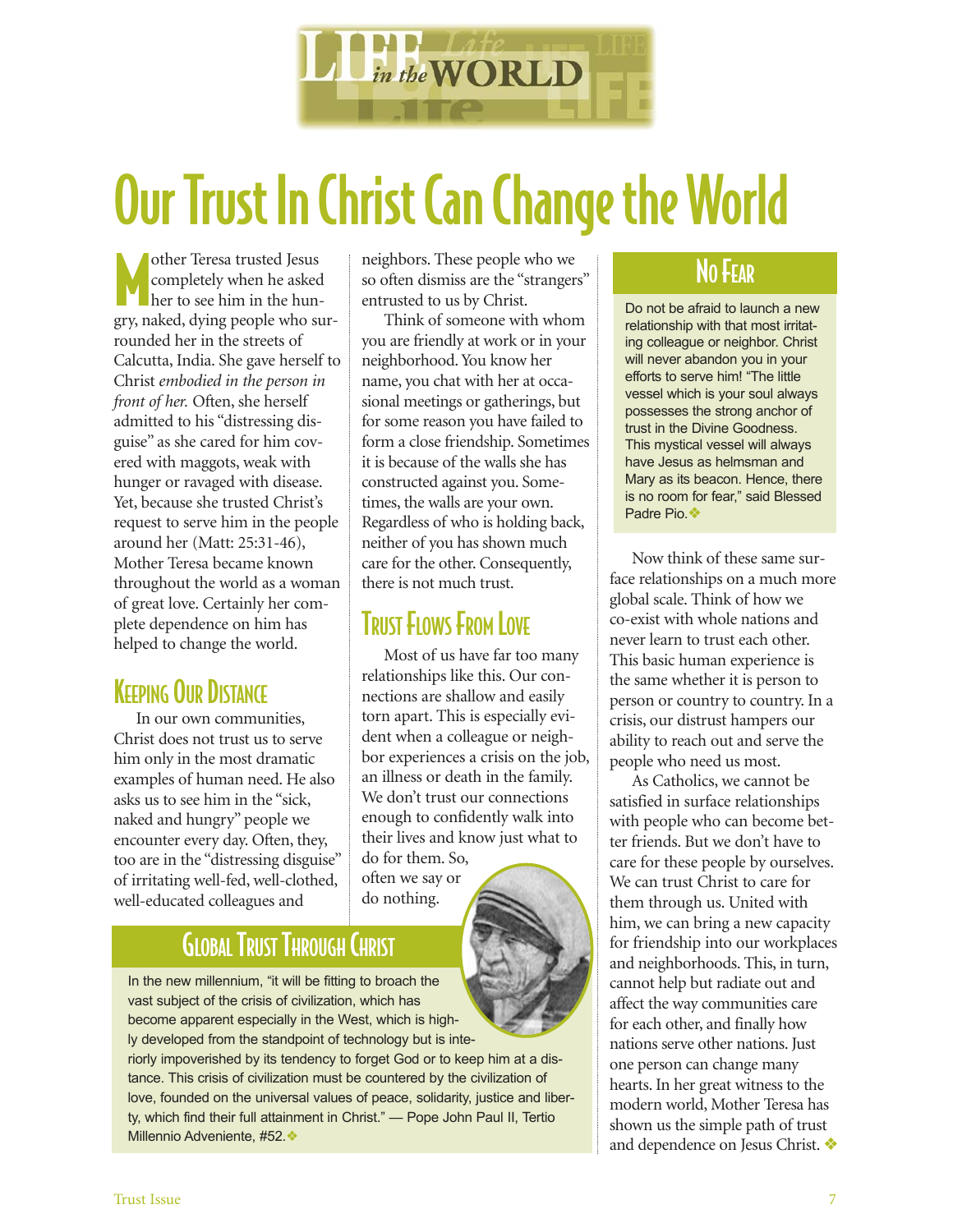

# Our Trust In Christ Can Change the World

other Teresa trusted Jesus<br>
completely when he asked<br>
her to see him in the hun-<br>
gry, naked, dying people who surother Teresa trusted Jesus completely when he asked her to see him in the hunrounded her in the streets of Calcutta, India. She gave herself to Christ *embodied in the person in front of her.* Often, she herself admitted to his "distressing disguise" as she cared for him covered with maggots, weak with hunger or ravaged with disease. Yet, because she trusted Christ's request to serve him in the people around her (Matt: 25:31-46), Mother Teresa became known throughout the world as a woman of great love. Certainly her complete dependence on him has helped to change the world.

## **KEEPING OUR DISTANCE**

In our own communities, Christ does not trust us to serve him only in the most dramatic examples of human need. He also asks us to see him in the "sick, naked and hungry" people we encounter every day. Often, they, too are in the "distressing disguise" of irritating well-fed, well-clothed, well-educated colleagues and

neighbors. These people who we so often dismiss are the "strangers" entrusted to us by Christ.

Think of someone with whom you are friendly at work or in your neighborhood. You know her name, you chat with her at occasional meetings or gatherings, but for some reason you have failed to form a close friendship. Sometimes it is because of the walls she has constructed against you. Sometimes, the walls are your own. Regardless of who is holding back, neither of you has shown much care for the other. Consequently, there is not much trust.

## **TRUST FLOWS FROM LOVE**

Most of us have far too many relationships like this. Our connections are shallow and easily torn apart. This is especially evident when a colleague or neighbor experiences a crisis on the job, an illness or death in the family. We don't trust our connections enough to confidently walk into their lives and know just what to do for them. So, often we say or do nothing.

## GLOBALTRUST THROUGH CHRIST

In the new millennium, "it will be fitting to broach the vast subject of the crisis of civilization, which has become apparent especially in the West, which is highly developed from the standpoint of technology but is inte-

riorly impoverished by its tendency to forget God or to keep him at a distance. This crisis of civilization must be countered by the civilization of love, founded on the universal values of peace, solidarity, justice and liberty, which find their full attainment in Christ." — Pope John Paul II, Tertio Millennio Adveniente, #52.❖

#### NO FEAR

Do not be afraid to launch a new relationship with that most irritating colleague or neighbor. Christ will never abandon you in your efforts to serve him! "The little vessel which is your soul always possesses the strong anchor of trust in the Divine Goodness. This mystical vessel will always have Jesus as helmsman and Mary as its beacon. Hence, there is no room for fear," said Blessed Padre Pio.❖

Now think of these same surface relationships on a much more global scale. Think of how we co-exist with whole nations and never learn to trust each other. This basic human experience is the same whether it is person to person or country to country. In a crisis, our distrust hampers our ability to reach out and serve the people who need us most.

As Catholics, we cannot be satisfied in surface relationships with people who can become better friends. But we don't have to care for these people by ourselves. We can trust Christ to care for them through us. United with him, we can bring a new capacity for friendship into our workplaces and neighborhoods. This, in turn, cannot help but radiate out and affect the way communities care for each other, and finally how nations serve other nations. Just one person can change many hearts. In her great witness to the modern world, Mother Teresa has shown us the simple path of trust and dependence on Jesus Christ. ❖